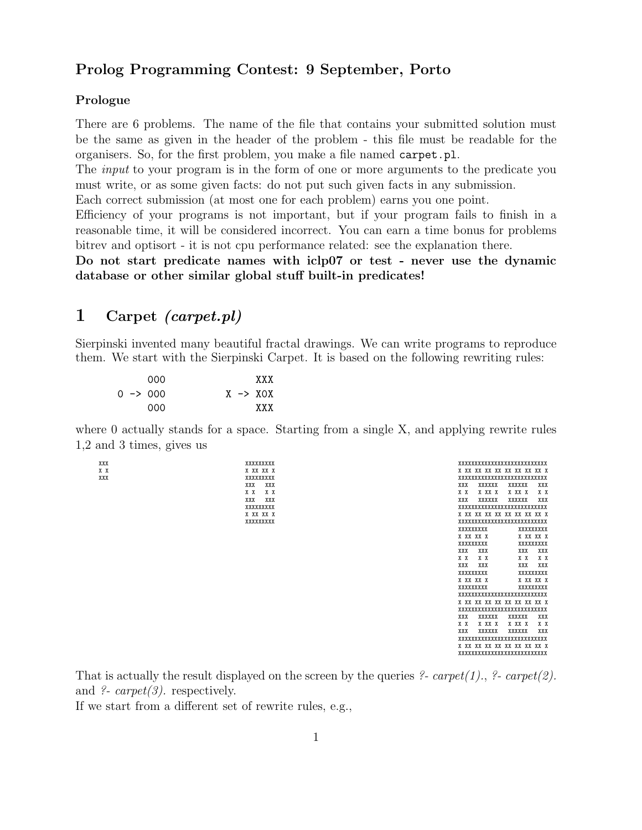### Prolog Programming Contest: 9 September, Porto

#### Prologue

There are 6 problems. The name of the file that contains your submitted solution must be the same as given in the header of the problem - this file must be readable for the organisers. So, for the first problem, you make a file named carpet.pl.

The *input* to your program is in the form of one or more arguments to the predicate you must write, or as some given facts: do not put such given facts in any submission.

Each correct submission (at most one for each problem) earns you one point.

Efficiency of your programs is not important, but if your program fails to finish in a reasonable time, it will be considered incorrect. You can earn a time bonus for problems bitrev and optisort - it is not cpu performance related: see the explanation there.

Do not start predicate names with iclp07 or test - never use the dynamic database or other similar global stuff built-in predicates!

#### 1 Carpet (carpet.pl)

Sierpinski invented many beautiful fractal drawings. We can write programs to reproduce them. We start with the Sierpinski Carpet. It is based on the following rewriting rules:

|  | 000                 |  | XXX                 |
|--|---------------------|--|---------------------|
|  | $0 \rightarrow 000$ |  | $X \rightarrow XOX$ |
|  | 000                 |  | <b>XXX</b>          |

where 0 actually stands for a space. Starting from a single X, and applying rewrite rules 1,2 and 3 times, gives us

XXX XXXXXXXXX XXXXXXXXXXXXXXXXXXXXXXXXXXX X X X XX XX X X XX XX XX XX XX XX XX XX X XXX XXXXXXXXX XXXXXXXXXXXXXXXXXXXXXXXXXXX XXX XXX XXX XXXXXX XXXXXX XXX X X X X X X X XX X X XX X X X XXX XXX XXX XXXXXX XXXXXX XXX XXXXXXXXX XXXXXXXXXXXXXXXXXXXXXXXXXXX X XX XX X X XX XX XX XX XX XX XX XX X XXXXXXXXX XXXXXXXXXXXXXXXXXXXXXXXXXXX XXXXXXXXX XXXXXXXXX X XX XX X X XX XX X XXXXXXXXX XXXXXXXXX XXX XXX XXX XXX X X X X X X X X XXX XXX XXX XXX XXXXXXXXX XXXXXXXXX **X XX XX X** X XX XX X XXXXXXXXX XXXXXXXXX XXXXXXXXXXXXXXXXXXXXXXXXXXX X XX XX XX XX XX XX XX XX X XXXXXXXXXXXXXXXXXXXXXXXXXXX XXX XXXXXX XXXXXX<br>X X X XXX X XXX X X X X XX X X XX X X X XXX XXXXXX XXXXXX XXX XXXXXXXXXXXXXXXXXXXXXXXXXXX X XX XX XX XX XX XX XX XX X XXXXXXXXXXXXXXXXXXXXXXXXXXX

That is actually the result displayed on the screen by the queries ?- carpet(1)., ?- carpet(2). and  $\ell$ - carpet(3). respectively.

If we start from a different set of rewrite rules, e.g.,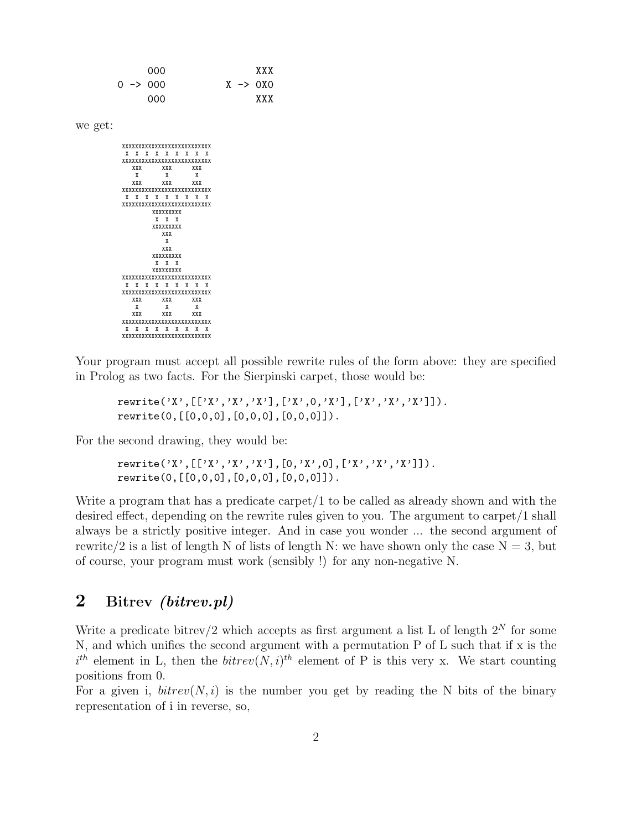000 XXX 0 -> 000 X -> 0X0 000 XXX

we get:

| xxxxxxxxxxxxxxxxxxxxxxxxx |            |  |  |                           |  |  |            |  |  |  |
|---------------------------|------------|--|--|---------------------------|--|--|------------|--|--|--|
|                           |            |  |  | x x x x x x x x x         |  |  |            |  |  |  |
| xxxxxxxxxxxxxxxxxxxxxxxxx |            |  |  |                           |  |  |            |  |  |  |
|                           | <b>XXX</b> |  |  | XXX                       |  |  | <b>XXX</b> |  |  |  |
|                           | X          |  |  | X                         |  |  | X          |  |  |  |
|                           | XXX        |  |  | XXX                       |  |  | <b>XXX</b> |  |  |  |
| xxxxxxxxxxxxxxxxxxxxxxxxx |            |  |  |                           |  |  |            |  |  |  |
| X                         | X          |  |  | x x x x x x x             |  |  |            |  |  |  |
|                           |            |  |  | xxxxxxxxxxxxxxxxxxxxxxxxx |  |  |            |  |  |  |
| XXXXXXXXX                 |            |  |  |                           |  |  |            |  |  |  |
|                           |            |  |  | x x x                     |  |  |            |  |  |  |
| xxxxxxxxx                 |            |  |  |                           |  |  |            |  |  |  |
|                           |            |  |  | <b>XXX</b>                |  |  |            |  |  |  |
|                           |            |  |  | X                         |  |  |            |  |  |  |
|                           |            |  |  | XXX                       |  |  |            |  |  |  |
|                           |            |  |  | xxxxxxxxx                 |  |  |            |  |  |  |
|                           |            |  |  | x x x                     |  |  |            |  |  |  |
|                           |            |  |  | XXXXXXXXX                 |  |  |            |  |  |  |
| xxxxxxxxxxxxxxxxxxxxxxxxx |            |  |  |                           |  |  |            |  |  |  |
|                           | <b>XX</b>  |  |  | x x x x x x x             |  |  |            |  |  |  |
| xxxxxxxxxxxxxxxxxxxxxxxxx |            |  |  |                           |  |  |            |  |  |  |
|                           | XXX        |  |  | XXX                       |  |  | XXX        |  |  |  |
|                           | X          |  |  | X                         |  |  | X          |  |  |  |
|                           | XXX        |  |  | XXX                       |  |  | <b>XXX</b> |  |  |  |
| xxxxxxxxxxxxxxxxxxxxxxxxx |            |  |  |                           |  |  |            |  |  |  |
|                           | x x        |  |  | x x x x x x x             |  |  |            |  |  |  |
|                           |            |  |  | xxxxxxxxxxxxxxxxxxxxxxxxx |  |  |            |  |  |  |

Your program must accept all possible rewrite rules of the form above: they are specified in Prolog as two facts. For the Sierpinski carpet, those would be:

rewrite('X',[['X','X','X'],['X',0,'X'],['X','X','X']]). rewrite(0,[[0,0,0],[0,0,0],[0,0,0]]).

For the second drawing, they would be:

rewrite('X',[['X','X','X'],[0,'X',0],['X','X','X']]). rewrite(0,[[0,0,0],[0,0,0],[0,0,0]]).

Write a program that has a predicate carpet/1 to be called as already shown and with the desired effect, depending on the rewrite rules given to you. The argument to carpet/1 shall always be a strictly positive integer. And in case you wonder ... the second argument of rewrite/2 is a list of length N of lists of length N: we have shown only the case  $N = 3$ , but of course, your program must work (sensibly !) for any non-negative N.

# 2 Bitrev (bitrev.pl)

Write a predicate bitrev/2 which accepts as first argument a list L of length  $2^N$  for some N, and which unifies the second argument with a permutation P of L such that if x is the  $i^{th}$  element in L, then the  $bitrev(N, i)^{th}$  element of P is this very x. We start counting positions from 0.

For a given i,  $\text{bitrev}(N, i)$  is the number you get by reading the N bits of the binary representation of i in reverse, so,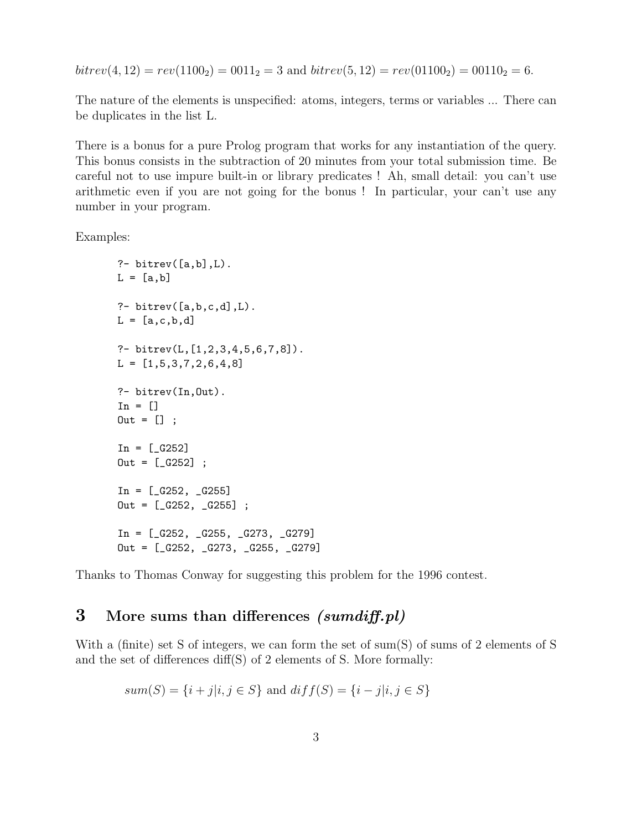$bitrev(4, 12) = rev(1100<sub>2</sub>) = 0011<sub>2</sub> = 3$  and  $bitrev(5, 12) = rev(01100<sub>2</sub>) = 00110<sub>2</sub> = 6.$ 

The nature of the elements is unspecified: atoms, integers, terms or variables ... There can be duplicates in the list L.

There is a bonus for a pure Prolog program that works for any instantiation of the query. This bonus consists in the subtraction of 20 minutes from your total submission time. Be careful not to use impure built-in or library predicates ! Ah, small detail: you can't use arithmetic even if you are not going for the bonus ! In particular, your can't use any number in your program.

Examples:

```
?- bitrev([a,b],L).
L = [a, b]?- bitrev([a,b,c,d],L).
L = [a, c, b, d]?- bitrev(L,[1,2,3,4,5,6,7,8]).
L = [1, 5, 3, 7, 2, 6, 4, 8]?- bitrev(In,Out).
In = []Out = [];
In = [-G252]0ut = [-G252] ;In = [-G252, -G255]Out = [-G252, -G255];
In = [-G252, -G255, -G273, -G279]Out = [_G252, _G273, _G255, _G279]
```
Thanks to Thomas Conway for suggesting this problem for the 1996 contest.

## 3 More sums than differences (sumdiff.pl)

With a (finite) set S of integers, we can form the set of sum(S) of sums of 2 elements of S and the set of differences diff(S) of 2 elements of S. More formally:

$$
sum(S) = {i + j|i, j \in S}
$$
 and  $diff(S) = {i - j|i, j \in S}$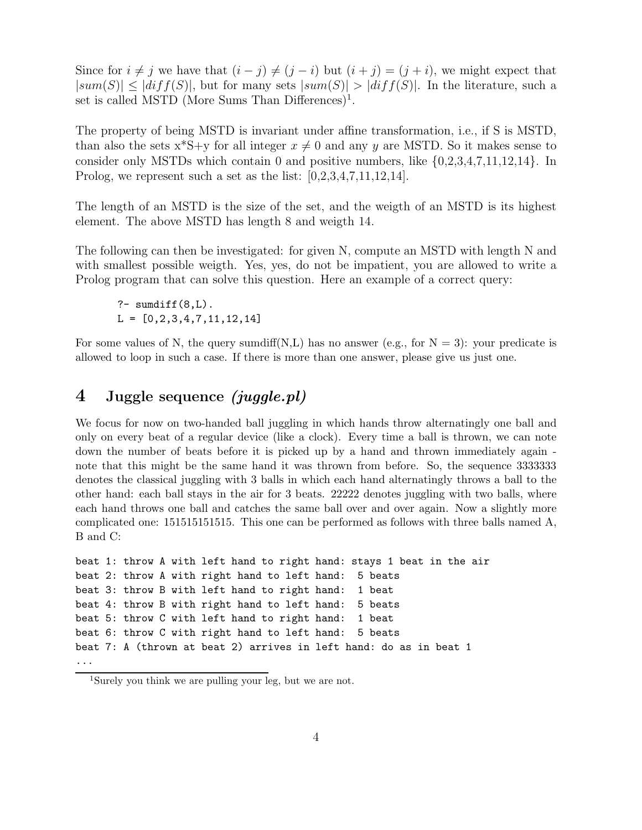Since for  $i \neq j$  we have that  $(i - j) \neq (j - i)$  but  $(i + j) = (j + i)$ , we might expect that  $|sum(S)| \leq |diff(S)|$ , but for many sets  $|sum(S)| > |diff(S)|$ . In the literature, such a set is called MSTD (More Sums Than Differences)<sup>1</sup>.

The property of being MSTD is invariant under affine transformation, i.e., if S is MSTD, than also the sets  $x^*S+y$  for all integer  $x \neq 0$  and any y are MSTD. So it makes sense to consider only MSTDs which contain 0 and positive numbers, like  $\{0,2,3,4,7,11,12,14\}$ . In Prolog, we represent such a set as the list:  $[0,2,3,4,7,11,12,14]$ .

The length of an MSTD is the size of the set, and the weigth of an MSTD is its highest element. The above MSTD has length 8 and weigth 14.

The following can then be investigated: for given N, compute an MSTD with length N and with smallest possible weigth. Yes, yes, do not be impatient, you are allowed to write a Prolog program that can solve this question. Here an example of a correct query:

 $?$ - sumdiff $(8,L)$ .  $L = [0, 2, 3, 4, 7, 11, 12, 14]$ 

For some values of N, the query sumdiff(N,L) has no answer (e.g., for  $N = 3$ ): your predicate is allowed to loop in such a case. If there is more than one answer, please give us just one.

## 4 Juggle sequence (juggle.pl)

We focus for now on two-handed ball juggling in which hands throw alternatingly one ball and only on every beat of a regular device (like a clock). Every time a ball is thrown, we can note down the number of beats before it is picked up by a hand and thrown immediately again note that this might be the same hand it was thrown from before. So, the sequence 3333333 denotes the classical juggling with 3 balls in which each hand alternatingly throws a ball to the other hand: each ball stays in the air for 3 beats. 22222 denotes juggling with two balls, where each hand throws one ball and catches the same ball over and over again. Now a slightly more complicated one: 151515151515. This one can be performed as follows with three balls named A, B and C:

```
beat 1: throw A with left hand to right hand: stays 1 beat in the air
beat 2: throw A with right hand to left hand: 5 beats
beat 3: throw B with left hand to right hand: 1 beat
beat 4: throw B with right hand to left hand: 5 beats
beat 5: throw C with left hand to right hand: 1 beat
beat 6: throw C with right hand to left hand: 5 beats
beat 7: A (thrown at beat 2) arrives in left hand: do as in beat 1
...
```
<sup>1</sup>Surely you think we are pulling your leg, but we are not.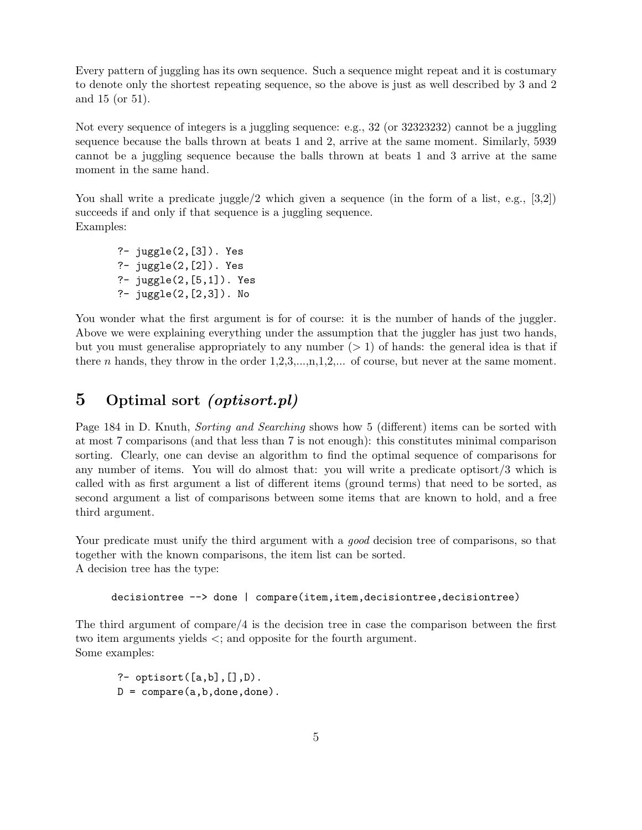Every pattern of juggling has its own sequence. Such a sequence might repeat and it is costumary to denote only the shortest repeating sequence, so the above is just as well described by 3 and 2 and 15 (or 51).

Not every sequence of integers is a juggling sequence: e.g., 32 (or 32323232) cannot be a juggling sequence because the balls thrown at beats 1 and 2, arrive at the same moment. Similarly, 5939 cannot be a juggling sequence because the balls thrown at beats 1 and 3 arrive at the same moment in the same hand.

You shall write a predicate juggle/2 which given a sequence (in the form of a list, e.g., [3,2]) succeeds if and only if that sequence is a juggling sequence. Examples:

?- juggle(2,[3]). Yes ?- juggle(2,[2]). Yes ?- juggle(2,[5,1]). Yes ?- juggle(2,[2,3]). No

You wonder what the first argument is for of course: it is the number of hands of the juggler. Above we were explaining everything under the assumption that the juggler has just two hands, but you must generalise appropriately to any number  $(> 1)$  of hands: the general idea is that if there n hands, they throw in the order  $1, 2, 3, \ldots, n, 1, 2, \ldots$  of course, but never at the same moment.

## 5 Optimal sort (optisort.pl)

Page 184 in D. Knuth, *Sorting and Searching* shows how 5 (different) items can be sorted with at most 7 comparisons (and that less than 7 is not enough): this constitutes minimal comparison sorting. Clearly, one can devise an algorithm to find the optimal sequence of comparisons for any number of items. You will do almost that: you will write a predicate optisort/3 which is called with as first argument a list of different items (ground terms) that need to be sorted, as second argument a list of comparisons between some items that are known to hold, and a free third argument.

Your predicate must unify the third argument with a *good* decision tree of comparisons, so that together with the known comparisons, the item list can be sorted. A decision tree has the type:

decisiontree --> done | compare(item,item,decisiontree,decisiontree)

The third argument of compare/4 is the decision tree in case the comparison between the first two item arguments yields <; and opposite for the fourth argument. Some examples:

?- optisort $([a,b],[]$ , $D)$ .  $D = \text{compare}(a, b, \text{done}, \text{done})$ .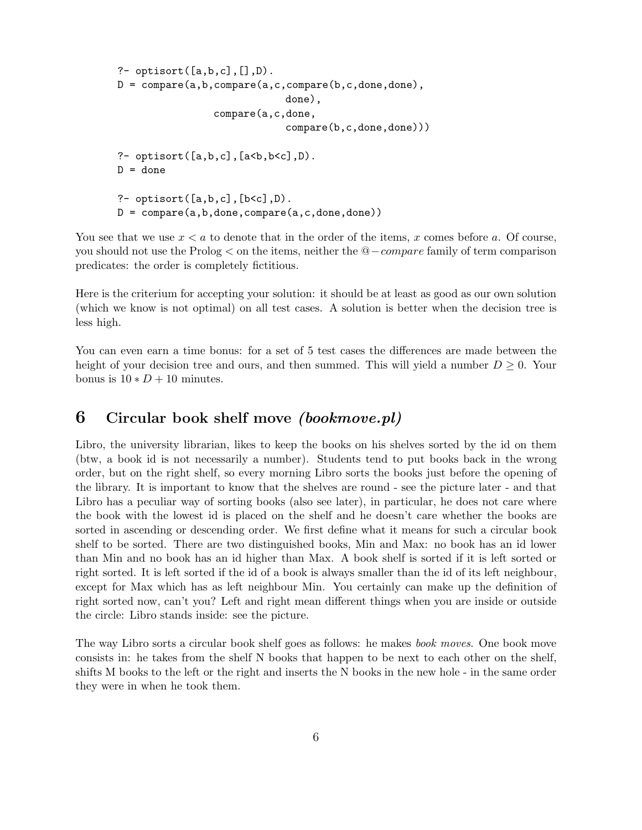```
?- optisort([a,b,c],[],D).
D = \text{compare}(a, b, \text{compare}(a, c, \text{compare}(b, c, \text{done}, \text{done}),done),
                   compare(a,c,done,
                                  compare(b,c,done,done)))
?- optisort([a,b,c], [a<b,b<c]</b>,D).
D = done?- optisort([a,b,c],[b<c],D).
D = compare(a,b,done,compare(a,c,done,done))
```
You see that we use  $x < a$  to denote that in the order of the items, x comes before a. Of course, you should not use the Prolog < on the items, neither the @−compare family of term comparison predicates: the order is completely fictitious.

Here is the criterium for accepting your solution: it should be at least as good as our own solution (which we know is not optimal) on all test cases. A solution is better when the decision tree is less high.

You can even earn a time bonus: for a set of 5 test cases the differences are made between the height of your decision tree and ours, and then summed. This will yield a number  $D \geq 0$ . Your bonus is  $10 * D + 10$  minutes.

#### 6 Circular book shelf move (bookmove.pl)

Libro, the university librarian, likes to keep the books on his shelves sorted by the id on them (btw, a book id is not necessarily a number). Students tend to put books back in the wrong order, but on the right shelf, so every morning Libro sorts the books just before the opening of the library. It is important to know that the shelves are round - see the picture later - and that Libro has a peculiar way of sorting books (also see later), in particular, he does not care where the book with the lowest id is placed on the shelf and he doesn't care whether the books are sorted in ascending or descending order. We first define what it means for such a circular book shelf to be sorted. There are two distinguished books, Min and Max: no book has an id lower than Min and no book has an id higher than Max. A book shelf is sorted if it is left sorted or right sorted. It is left sorted if the id of a book is always smaller than the id of its left neighbour, except for Max which has as left neighbour Min. You certainly can make up the definition of right sorted now, can't you? Left and right mean different things when you are inside or outside the circle: Libro stands inside: see the picture.

The way Libro sorts a circular book shelf goes as follows: he makes book moves. One book move consists in: he takes from the shelf N books that happen to be next to each other on the shelf, shifts M books to the left or the right and inserts the N books in the new hole - in the same order they were in when he took them.